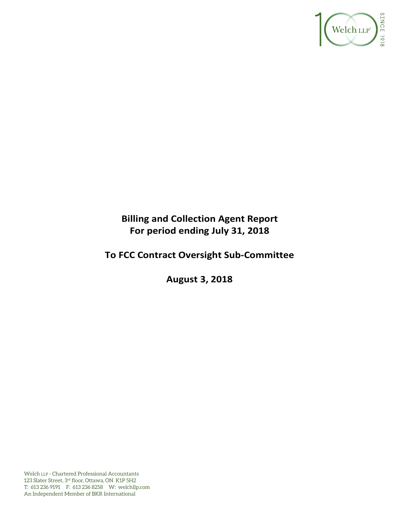

# **Billing and Collection Agent Report For period ending July 31, 2018**

# **To FCC Contract Oversight Sub‐Committee**

**August 3, 2018** 

Welch LLP - Chartered Professional Accountants 123 Slater Street, 3rd floor, Ottawa, ON K1P 5H2 T: 613 236 9191 F: 613 236 8258 W: welchllp.com An Independent Member of BKR International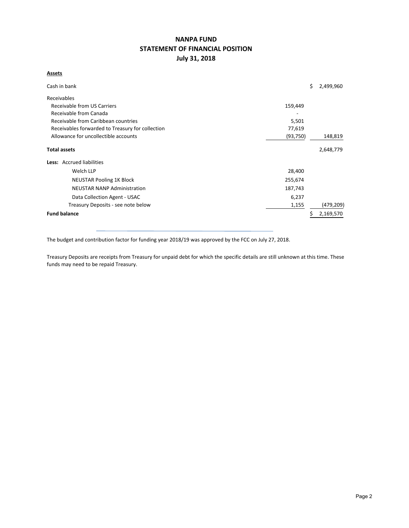# **NANPA FUND STATEMENT OF FINANCIAL POSITION July 31, 2018**

## **Assets**

| Cash in bank                                     |           | \$<br>2,499,960 |
|--------------------------------------------------|-----------|-----------------|
| Receivables                                      |           |                 |
| Receivable from US Carriers                      | 159,449   |                 |
| Receivable from Canada                           |           |                 |
| Receivable from Caribbean countries              | 5,501     |                 |
| Receivables forwarded to Treasury for collection | 77,619    |                 |
| Allowance for uncollectible accounts             | (93, 750) | 148,819         |
| <b>Total assets</b>                              |           | 2,648,779       |
| Less: Accrued liabilities                        |           |                 |
| Welch LLP                                        | 28,400    |                 |
| <b>NEUSTAR Pooling 1K Block</b>                  | 255,674   |                 |
| <b>NEUSTAR NANP Administration</b>               | 187,743   |                 |
| Data Collection Agent - USAC                     | 6,237     |                 |
| Treasury Deposits - see note below               | 1,155     | (479, 209)      |
| <b>Fund balance</b>                              |           | 2,169,570       |

The budget and contribution factor for funding year 2018/19 was approved by the FCC on July 27, 2018.

Treasury Deposits are receipts from Treasury for unpaid debt for which the specific details are still unknown at this time. These funds may need to be repaid Treasury.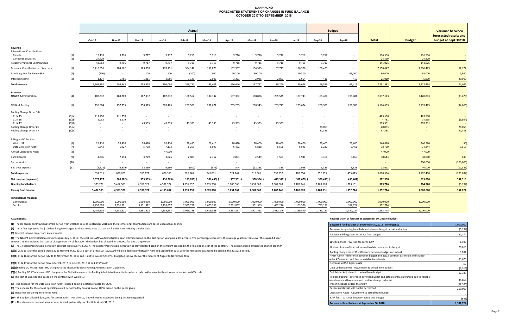#### **NANP FUND FORECASTED STATEMENT OF CHANGES IN FUND BALANCE OCTOBER 2017 TO SEPTEMBER 2018**

|                                          |        | Actual    |               |               |           |               |               |            |                  |               | <b>Budget</b> |               |           | <b>Variance between</b> |               |                        |
|------------------------------------------|--------|-----------|---------------|---------------|-----------|---------------|---------------|------------|------------------|---------------|---------------|---------------|-----------|-------------------------|---------------|------------------------|
|                                          |        |           |               |               |           |               |               |            |                  |               |               |               |           |                         |               | forecasted results and |
|                                          |        | Oct-17    | <b>Nov-17</b> | <b>Dec-17</b> | Jan-18    | Feb-18        | <b>Mar-18</b> | Apr-18     | $May-18$         | <b>Jun-18</b> | <b>Jul-18</b> | Aug-18        | $Sep-18$  | <b>Total</b>            | <b>Budget</b> | budget at Sept 30/18   |
| Revenue                                  |        |           |               |               |           |               |               |            |                  |               |               |               |           |                         |               |                        |
| <b>International Contributions</b>       |        |           |               |               |           |               |               |            |                  |               |               |               |           |                         |               |                        |
| Canada                                   | (1)    | 19,433    | 9,716         | 9,717         | 9,717     | 9,716         | 9,716         | 9,716      | 9,716            | 9,716         | 9,716         | 9,717         |           | 116,596                 | 116,596       |                        |
| Caribbean countries                      | (1)    | 24,429    | $\sim$ $\sim$ | $\sim$ $\sim$ | $\sim$    | $\sim$ $\sim$ | $\sim$        | $\sim 100$ | $\sim$ 100 $\mu$ | $\sim$        | $\sim 100$    | $\sim$ $\sim$ | $\sim$    | 24,429                  | 24,429        |                        |
| <b>Total International Contributions</b> |        | 43,862    | 9,716         | 9,717         | 9,717     | 9,716         | 9,716         | 9,716      | 9,716            | 9,716         | 9,716         | 9,717         | $\sim$    | 141,025                 | 141,025       |                        |
| Domestic Contributions - US carriers     | (1)    | 5,718,956 | 184,162       | 183,850       | 178,191   | 354,142       | 150,876       | 152,907    | 154,515          | 167,717       | 156,908       | 156,423       | $\sim$    | 7,558,647               | 7,506,473     | 52,174                 |
| Late filing fees for Form 499A           | (2)    | (200)     | $\sim$        | 200           | 100       | (200)         | 300           | 700.00     | 600.00           | $\sim$ $-$    | 400.00        | $\sim$        | 65,000    | 66,900                  | 65,000        | 1,900                  |
| Interest income                          | (3)    | 1,174     | 1,765         | 1,811         | 2,086     | 3,123         | 2,509         | 3,323      | 2,926            | 2,807         | 2,654         | 416           | 416       | 25,010                  | 5,000         | 20,010                 |
| <b>Total revenue</b>                     |        | 5,763,792 | 195,643       | 195,578       | 190,094   | 366,781       | 163,401       | 166,646    | 167,757          | 180,240       | 169,678       | 166,556       | 65,416    | 7,791,582               | 7,717,498     | 74,084                 |
| <b>Expenses</b>                          |        |           |               |               |           |               |               |            |                  |               |               |               |           |                         |               |                        |
| <b>NANPA Administration</b>              | (4)    | 187,332   | 188,789       | 187,332       | 187,332   | 188,562       | 187,332       | 187,332    | 188,876          | 255,545       | 187,743       | 195,484       | 195,484   | 2,337,143               | 2,420,813     | (83, 670)              |
|                                          |        |           |               |               |           |               |               |            |                  |               |               |               |           |                         |               |                        |
| 1K Block Pooling                         | (5)    | 255,804   | 257,795       | 254,315       | 303,465   | 257,581       | 282,672       | 255,205    | 260,343          | 263,777       | 255,674       | 258,989       | 258,989   | 3,164,609               | 3,199,475     | (34, 866)              |
| Pooling Change Order 3 B                 |        |           |               |               |           |               |               |            |                  |               |               |               |           |                         |               |                        |
| - CLIN 15                                | (5)(a) | 211,750   | 211,750       | $\sim$        |           |               |               |            |                  |               |               |               |           | 423,500                 | 423,500       |                        |
| - CLIN 16                                | (5)(b) | 2,052     | 2,679         | $\sim$ $-$    |           |               |               |            |                  |               |               |               |           | 4,731                   | 14,535        | (9,804)                |
| - CLIN 17                                | (5)(b) | $\sim$    | $\sim$        | 43,333        | 43,333    | 43,333        | 43,333        | 43,333     | 43,333           | 43,333        |               | $\sim$        |           | 303,331                 | 303,331       |                        |
| Pooling Change Order #6                  | (5)(c) | $\sim$    | $\sim$        |               |           |               |               |            | $\sim$           | $\sim$        |               | 20,053        |           | 20,053                  |               | 20,053                 |
| Pooling Change Order #7                  | (5)(d) |           |               |               |           |               |               |            |                  |               |               | 37,333        |           | 37,333                  |               | 37,333                 |
| <b>Billing and Collection</b>            |        |           |               |               |           |               |               |            |                  |               |               |               |           |                         |               |                        |
| Welch LLP                                | (6)    | 28,410    | 28,410        | 28,410        | 28,410    | 28,410        | 28,410        | 28,410     | 28,400           | 28,400        | 28,400        | 28,400        | 28,400    | 340,870                 | 340,920       | (50)                   |
| <b>Data Collection Agent</b>             | (7)    | 6,843     | 6,927         | 5,798         | 7,113     | 6,253         | 6,593         | 6,462      | 6,818            | 6,666         | 6,599         | 6,237         | 6,451     | 78,760                  | 74,844        | 3,916                  |
| <b>Annual Operations Audit</b>           | (8)    | $\sim$    | $\sim$        | $\sim$        | 47,000    | $\sim$        | $\sim$        | $\sim$     | $\sim$ $-$       | $\sim$        | $\sim$ $-$    |               |           | 47,000                  | 47,000        |                        |
| <b>Bank Charges</b>                      | (9)    | 4,346     | 7,194         | 3,729         | 3,026     | 2,803         | 2,362         | 2,861      | 2,549            | 1,501         | 1,940         | 3,166         | 3,166     | 38,643                  | 38,000        | 643                    |
| Carrier Audits                           | (10)   | $\sim$    | $\sim$        | $\sim$        | $\sim$    |               | $\sim$        | $\sim$     | $\sim$           | $\sim$        | $\sim$        | $\sim$        |           |                         | 200,000       | (200,000)              |
| Bad debt expense                         | (11)   | (5, 522)  | (6, 919)      | 32,260        | 6,680     | (302)         | (871)         | 544        | (12, 258)        | 335           | 1,998         | 3,333         | 3,333     | 22,611                  | 40,000        | (17, 389)              |
| <b>Total expenses</b>                    |        | 691,015   | 696,625       | 555,177       | 626,359   | 526,640       | 549,831       | 524,147    | 518,061          | 599,557       | 482,354       | 552,995       | 495,823   | 6,818,584               | 7,102,418     | (283, 834)             |
| Net revenue (expenses)                   |        | 5,072,777 | 500,982) (    | 359,599)      | 436,265)  | 159,859) (    | 386,430)      | 357,501) ( | 350,304)         | 419,317) (    | 312,676)      | 386,439) (    | 430,407)  | 972,998                 | 615,080       | 357,918                |
| <b>Opening fund balance</b>              |        | 379,726   | 5,452,503     | 4,951,521     | 4,591,922 | 4,155,657     | 3,995,798     | 3,609,368  | 3,251,867        | 2,901,563     | 2,482,246     | 2,169,570     | 1,783,131 | 379,726                 | 384,920       | (5, 194)               |
| <b>Closing fund balance</b>              |        | 5,452,503 | 4,951,521     | 4,591,922     | 4,155,657 | 3,995,798     | 3,609,368     | 3,251,867  | 2,901,563        | 2,482,246     | 2,169,570     | 1,783,131     | 1,352,724 | 1,352,724               | 1,000,000     | 352,724                |
| Fund balance makeup:                     |        |           |               |               |           |               |               |            |                  |               |               |               |           |                         |               |                        |
| Contingency                              |        | 1,000,000 | 1,000,000     | 1,000,000     | 1,000,000 | 1,000,000     | 1,000,000     | 1,000,000  | 1,000,000        | 1,000,000     | 1,000,000     | 1,000,000     | 1,000,000 | 1,000,000               | 1,000,000     |                        |
| Surplus                                  |        | 4,452,503 | 3,951,521     | 3,591,922     | 3,155,657 | 2,995,798     | 2,609,368     | 2,251,867  | 1,901,563        | 1,482,246     | 1,169,570     | 783,131       | 352,724   | 352,724                 |               |                        |
|                                          |        | 5,452,503 | 4,951,521     | 4,591,922     | 4,155,657 | 3,995,798     | 3,609,368     | 3,251,867  | 2,901,563        | 2,482,246     | 2,169,570     | 1,783,131     | 1,352,724 | 1,352,724               | 1,000,000     |                        |
|                                          |        |           |               |               |           |               |               |            |                  |               |               |               |           |                         |               |                        |

**(1)** The US carrier contributions for the period from October 2017 to September 2018 and the International contributions are based upon actual billings.

(2) These fees represent the \$100 late filing fee charged to those companies that do not file the Form 499A by the due date.

**(3)** Interest income projections are estimates

(4) The NANPA Administration contract expires July 8, 2017. The cost for NANPA administration is an estimate based on the last option year plus a 3% increase. The percentage represents the average yearly increase over the contract. It also includes the cost of change order #7 of \$68,120. The budget had allowed for \$75,000 for this change order

(5) The 1K Block Pooling Administration contract expires July 14, 2017. The cost for Pooling Administration is provided for based on the amount provided in the final option year of the contract. The costs included anticipa

(5)(a) CLIN 15 is for the period March 22 to November 22, 2017 a cost of \$748,500. \$325,000 will be billed evenly between April and September 2017 with the remaining balance to be billed in the 2017/18 period.

**(5)(b)** CLIN 16 is for the period July 31 to November 24, 2017 and is not to exceed \$29,070. Budgeted for evenly over the months of August to November 2017

**(5)(b)** CLIN 17 is for the period November 24, 2017 to June 30, 2018 at \$43,333/month

**(5)(c)**Pooling CO #6 addresses INC changes to the Thousands‐Block Pooling Administration Guidelines (3,916)

**(5)(d)** Pooling CO #7 addresses INC changes to the Guidelines related to Pooling Administration activities when a code holder voluntarily returns or abandons an NXX code. 17,389 **(6)** The cost of B&C Agent is based on the contract with Welch LLP

**(7)** The expense for the Data Collection Agent is based on an allocation of costs by USAC.

**(8)** The expense for the annual operations audit performed by Ernst & Young LLP is based on the quote given.

**(9)** Bank fees are an expense to the Fund.

**(10)** The budget allowed \$200,000 for carrier audits. Per the FCC, this will not be expended during this funding period.

**(11)**  The allowance covers all accounts considered potentially uncollectible at July 31, 2018.

#### **Assumptions: Reconciliation of forecast at September 30, 2018 to budget**

| Budgeted fund balance at September 30, 2018 - contingency                                                                                          | 1,000,000 |
|----------------------------------------------------------------------------------------------------------------------------------------------------|-----------|
| Decrease in opening fund balance between budget period and actual                                                                                  | (5, 194)  |
| Additional billings over estimate from budget                                                                                                      | 52,174    |
| Late filing fees (reversal) for Form 499A                                                                                                          | 1,900     |
| Underestimate of interest earned to date compared to budget                                                                                        | 20,010    |
| Pooling change order 3B -difference between budget and actual                                                                                      | 9,804     |
| NANP Admin - difference between budget and actual contract extension and change<br>order #7 awarded and due to variable travel costs               | 83,670    |
| Decrease in B&C Agent costs                                                                                                                        | 50        |
| Data Collection fees - Adjustment to actual from budget                                                                                            | (3,916)   |
| Bad debts - Adjustment to actual from budget                                                                                                       | 17,389    |
| IK Block Pooling - difference between budget and actual contract awarded due to variable<br>travel costs and lower amount paid for change order #4 | 34,866    |
| Pooling change orders #6 and #7                                                                                                                    | (57, 386) |
| Carrier audits that will not be performed                                                                                                          | 200,000   |
| Operations Audit - Adjustment to actual from budget                                                                                                |           |
| Bank fees - Variance between actual and budget                                                                                                     | (643)     |
| Forecasted fund balance at September 30, 2018                                                                                                      | 1,352,724 |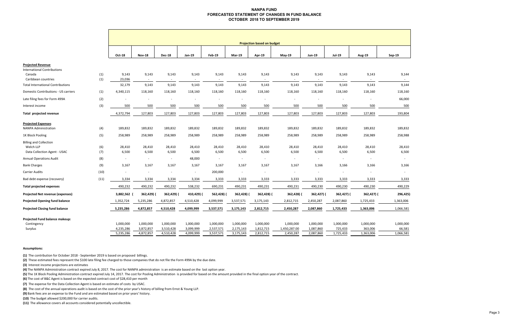#### **NANPA FUND FORECASTED STATEMENT OF CHANGES IN FUND BALANCE OCTOBER 2018 TO SEPTEMBER 2019**

|                                              |      | <b>Projection based on budget</b> |                          |                          |                |               |               |                          |                          |                          |               |                |           |
|----------------------------------------------|------|-----------------------------------|--------------------------|--------------------------|----------------|---------------|---------------|--------------------------|--------------------------|--------------------------|---------------|----------------|-----------|
|                                              |      | Oct-18                            | <b>Nov-18</b>            | <b>Dec-18</b>            | Jan-19         | <b>Feb-19</b> | <b>Mar-19</b> | Apr-19                   | $May-19$                 | Jun-19                   | <b>Jul-19</b> | Aug-19         | Sep-19    |
| <b>Projected Revenue</b>                     |      |                                   |                          |                          |                |               |               |                          |                          |                          |               |                |           |
| <b>International Contributions</b><br>Canada | (1)  | 9,143                             | 9,143                    | 9,143                    | 9,143          | 9,143         | 9,143         | 9,143                    | 9,143                    | 9,143                    | 9,143         | 9,143          | 9,144     |
| Caribbean countries                          | (1)  | 23,036                            | $\sim$                   |                          | $\sim$         |               |               |                          |                          | $\sim$                   |               | $\blacksquare$ |           |
| <b>Total International Contributions</b>     |      | 32,179                            | 9,143                    | 9,143                    | 9,143          | 9,143         | 9,143         | 9,143                    | 9,143                    | 9,143                    | 9,143         | 9,143          | 9,144     |
| Domestic Contributions - US carriers         | (1)  | 4,340,115                         | 118,160                  | 118,160                  | 118,160        | 118,160       | 118,160       | 118,160                  | 118,160                  | 118,160                  | 118,160       | 118,160        | 118,160   |
| Late filing fees for Form 499A               | (2)  |                                   |                          |                          |                |               |               |                          | $\overline{\phantom{a}}$ | $\overline{\phantom{a}}$ |               |                | 66,000    |
| Interest income                              | (3)  | 500                               | 500                      | 500                      | 500            | 500           | 500           | 500                      | 500                      | 500                      | 500           | 500            | 500       |
| Total projected revenue                      |      | 4,372,794                         | 127,803                  | 127,803                  | 127,803        | 127,803       | 127,803       | 127,803                  | 127,803                  | 127,803                  | 127,803       | 127,803        | 193,804   |
| <b>Projected Expenses</b>                    |      |                                   |                          |                          |                |               |               |                          |                          |                          |               |                |           |
| <b>NANPA Administration</b>                  | (4)  | 189,832                           | 189,832                  | 189,832                  | 189,832        | 189,832       | 189,832       | 189,832                  | 189,832                  | 189,832                  | 189,832       | 189,832        | 189,832   |
| 1K Block Pooling                             | (5)  | 258,989                           | 258,989                  | 258,989                  | 258,989        | 258,989       | 258,989       | 258,989                  | 258,989                  | 258,989                  | 258,989       | 258,989        | 258,988   |
| <b>Billing and Collection</b>                |      |                                   |                          |                          |                |               |               |                          |                          |                          |               |                |           |
| Welch LLP                                    | (6)  | 28,410                            | 28,410                   | 28,410                   | 28,410         | 28,410        | 28,410        | 28,410                   | 28,410                   | 28,410                   | 28,410        | 28,410         | 28,410    |
| Data Collection Agent - USAC                 | (7)  | 6,500                             | 6,500                    | 6,500                    | 6,500          | 6,500         | 6,500         | 6,500                    | 6,500                    | 6,500                    | 6,500         | 6,500          | 6,500     |
| <b>Annual Operations Audit</b>               | (8)  | $\sim$                            | $\overline{\phantom{a}}$ | $\sim$                   | 48,000         | $\sim$        | $\sim$        | $\sim$                   | $\overline{\phantom{a}}$ | $\sim$                   |               | $\blacksquare$ |           |
| <b>Bank Charges</b>                          | (9)  | 3,167                             | 3,167                    | 3,167                    | 3,167          | 3,167         | 3,167         | 3,167                    | 3,167                    | 3,166                    | 3,166         | 3,166          | 3,166     |
| Carrier Audits                               | (10) |                                   | $\sim$                   | $\overline{\phantom{a}}$ | $\blacksquare$ | 200,000       | $\sim$        | $\overline{\phantom{a}}$ | $\overline{\phantom{a}}$ | $\sim$                   |               |                |           |
| Bad debt expense (recovery)                  | (11) | 3,334                             | 3,334                    | 3,334                    | 3,334          | 3,333         | 3,333         | 3,333                    | 3,333                    | 3,333                    | 3,333         | 3,333          | 3,333     |
| <b>Total projected expenses</b>              |      | 490,232                           | 490,232                  | 490,232                  | 538,232        | 690,231       | 490,231       | 490,231                  | 490,231                  | 490,230                  | 490,230       | 490,230        | 490,229   |
| Projected Net revenue (expenses)             |      | 3,882,562                         | 362,429) (               | 362,429) (               | 410,429) (     | 562,428)      | 362,428) (    | 362,428)                 | 362,428) (               | 362,427) (               | 362,427) (    | 362,427) (     | 296,425)  |
| <b>Projected Opening fund balance</b>        |      | 1,352,724                         | 5,235,286                | 4,872,857                | 4,510,428      | 4,099,999     | 3,537,571     | 3,175,143                | 2,812,715                | 2,450,287                | 2,087,860     | 1,725,433      | 1,363,006 |
| <b>Projected Closing fund balance</b>        |      | 5,235,286                         | 4,872,857                | 4,510,428                | 4,099,999      | 3,537,571     | 3,175,143     | 2,812,715                | 2,450,287                | 2,087,860                | 1,725,433     | 1,363,006      | 1,066,581 |
| Projected Fund balance makeup:               |      |                                   |                          |                          |                |               |               |                          |                          |                          |               |                |           |
| Contingency                                  |      | 1,000,000                         | 1,000,000                | 1,000,000                | 1,000,000      | 1,000,000     | 1,000,000     | 1,000,000                | 1,000,000                | 1,000,000                | 1,000,000     | 1,000,000      | 1,000,000 |
| Surplus                                      |      | 4,235,286                         | 3,872,857                | 3,510,428                | 3,099,999      | 2,537,571     | 2,175,143     | 1,812,715                | 1,450,287.00             | 1,087,860                | 725,433       | 363,006        | 66,581    |
|                                              |      | 5,235,286                         | 4,872,857                | 4,510,428                | 4,099,999      | 3,537,571     | 3,175,143     | 2,812,715                | 2,450,287                | 2,087,860                | 1,725,433     | 1,363,006      | 1,066,581 |

#### **Assumptions:**

**(1)** The contribution for October 2018 ‐ September 2019 is based on proposed billings.

**(2)** These estimated fees represent the \$100 late filing fee charged to those companies that do not file the Form 499A by the due date.

**(3)** Interest income projections are estimates

**(4)** The NANPA Administration contract expired July 8, 2017. The cost for NANPA administration is an estimate based on the last option year.

**(5)** The 1K Block Pooling Administration contract expired July 14, 2017. The cost for Pooling Administration is provided for based on the amount provided in the final option year of the contract.

**(6)** The cost of B&C Agent is based on the expected contract cost of \$28,410 per month

**(7)**  The expense for the Data Collection Agent is based on estimate of costs by USAC.

**(8)**  The cost of the annual operations audit is based on the cost of the prior year's history of billing from Ernst & Young LLP.

**(9)** Bank fees are an expense to the Fund and are estimated based on prior years' history.

**(10)** The budget allowed \$200,000 for carrier audits.

**(11)**  The allowance covers all accounts considered potentially uncollectible.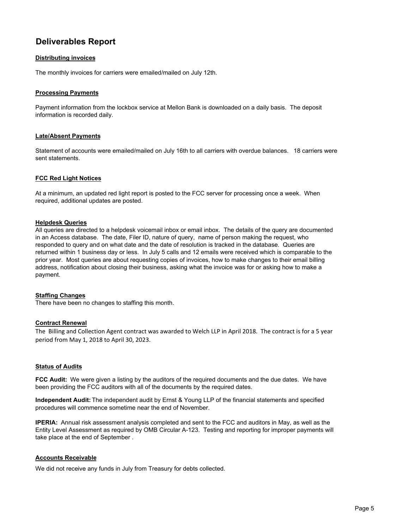# **Deliverables Report**

## **Distributing invoices**

The monthly invoices for carriers were emailed/mailed on July 12th.

#### **Processing Payments**

Payment information from the lockbox service at Mellon Bank is downloaded on a daily basis. The deposit information is recorded daily.

## **Late/Absent Payments**

Statement of accounts were emailed/mailed on July 16th to all carriers with overdue balances. 18 carriers were sent statements.

## **FCC Red Light Notices**

At a minimum, an updated red light report is posted to the FCC server for processing once a week. When required, additional updates are posted.

#### **Helpdesk Queries**

All queries are directed to a helpdesk voicemail inbox or email inbox. The details of the query are documented in an Access database. The date, Filer ID, nature of query, name of person making the request, who responded to query and on what date and the date of resolution is tracked in the database. Queries are returned within 1 business day or less. In July 5 calls and 12 emails were received which is comparable to the prior year. Most queries are about requesting copies of invoices, how to make changes to their email billing address, notification about closing their business, asking what the invoice was for or asking how to make a payment.

#### **Staffing Changes**

There have been no changes to staffing this month.

#### **Contract Renewal**

The Billing and Collection Agent contract was awarded to Welch LLP in April 2018. The contract is for a 5 year period from May 1, 2018 to April 30, 2023.

#### **Status of Audits**

**FCC Audit:** We were given a listing by the auditors of the required documents and the due dates. We have been providing the FCC auditors with all of the documents by the required dates.

**Independent Audit:** The independent audit by Ernst & Young LLP of the financial statements and specified procedures will commence sometime near the end of November.

**IPERIA:** Annual risk assessment analysis completed and sent to the FCC and auditors in May, as well as the Entity Level Assessment as required by OMB Circular A-123. Testing and reporting for improper payments will take place at the end of September .

## **Accounts Receivable**

We did not receive any funds in July from Treasury for debts collected.